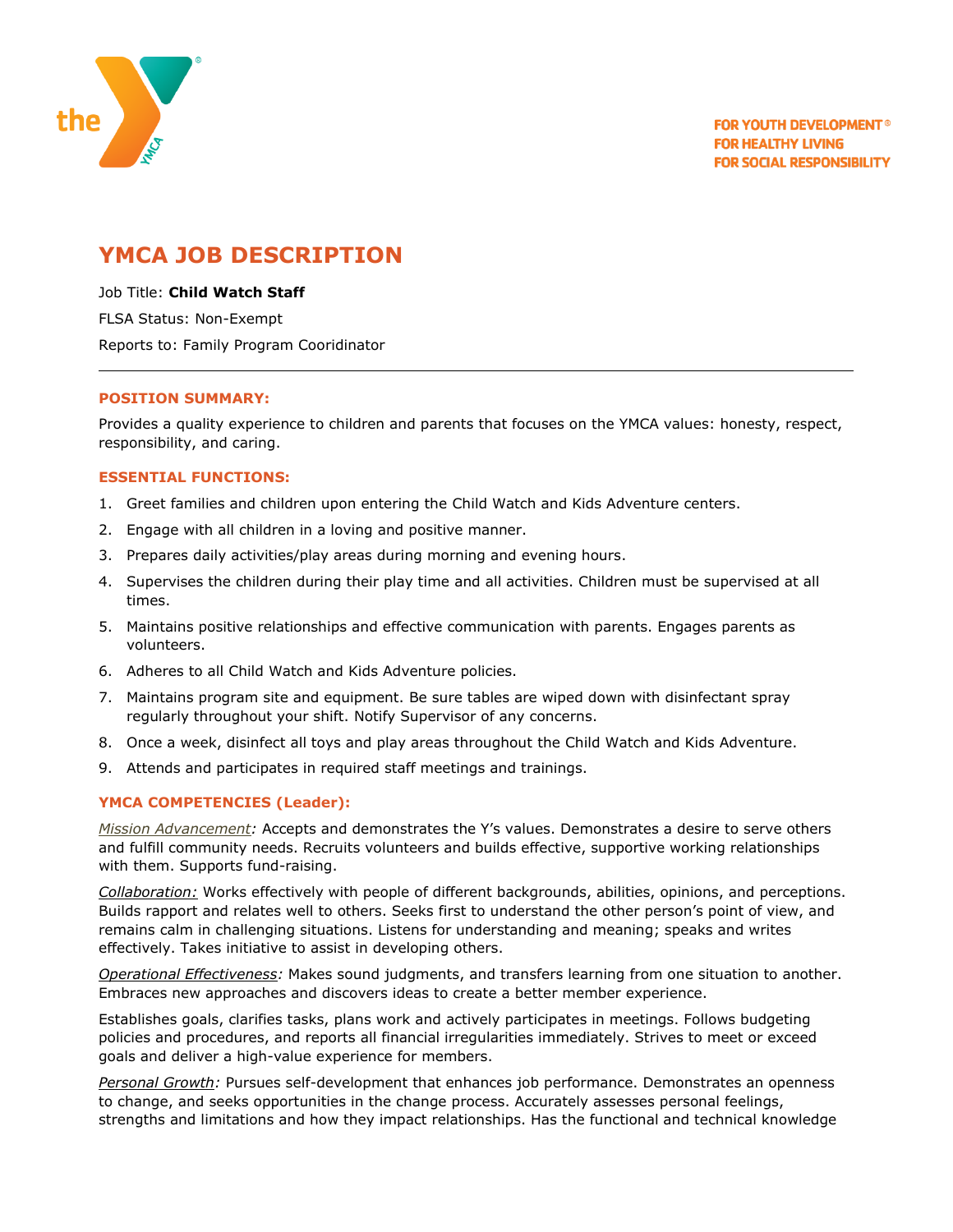

# **YMCA JOB DESCRIPTION**

Job Title: **Child Watch Staff** FLSA Status: Non-Exempt

Reports to: Family Program Cooridinator

## **POSITION SUMMARY:**

Provides a quality experience to children and parents that focuses on the YMCA values: honesty, respect, responsibility, and caring.

### **ESSENTIAL FUNCTIONS:**

- 1. Greet families and children upon entering the Child Watch and Kids Adventure centers.
- 2. Engage with all children in a loving and positive manner.
- 3. Prepares daily activities/play areas during morning and evening hours.
- 4. Supervises the children during their play time and all activities. Children must be supervised at all times.
- 5. Maintains positive relationships and effective communication with parents. Engages parents as volunteers.
- 6. Adheres to all Child Watch and Kids Adventure policies.
- 7. Maintains program site and equipment. Be sure tables are wiped down with disinfectant spray regularly throughout your shift. Notify Supervisor of any concerns.
- 8. Once a week, disinfect all toys and play areas throughout the Child Watch and Kids Adventure.
- 9. Attends and participates in required staff meetings and trainings.

## **YMCA COMPETENCIES (Leader):**

*Mission Advancement:* Accepts and demonstrates the Y's values. Demonstrates a desire to serve others and fulfill community needs. Recruits volunteers and builds effective, supportive working relationships with them. Supports fund-raising.

*Collaboration:* Works effectively with people of different backgrounds, abilities, opinions, and perceptions. Builds rapport and relates well to others. Seeks first to understand the other person's point of view, and remains calm in challenging situations. Listens for understanding and meaning; speaks and writes effectively. Takes initiative to assist in developing others.

*Operational Effectiveness:* Makes sound judgments, and transfers learning from one situation to another. Embraces new approaches and discovers ideas to create a better member experience.

Establishes goals, clarifies tasks, plans work and actively participates in meetings. Follows budgeting policies and procedures, and reports all financial irregularities immediately. Strives to meet or exceed goals and deliver a high-value experience for members.

*Personal Growth:* Pursues self-development that enhances job performance. Demonstrates an openness to change, and seeks opportunities in the change process. Accurately assesses personal feelings, strengths and limitations and how they impact relationships. Has the functional and technical knowledge